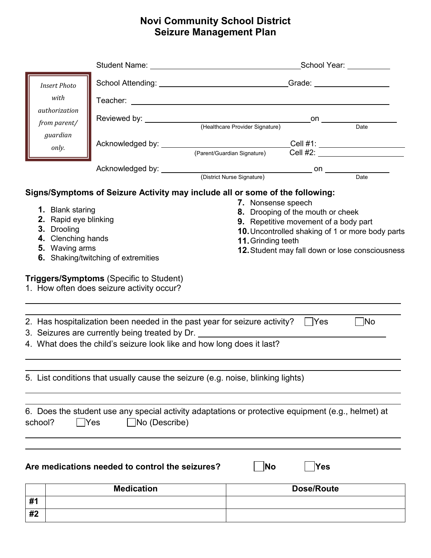## **Novi Community School District Seizure Management Plan**

|                                                                                                  |                                                                                                                                                                                                                                        | _School Year: __________ |                                                                                  |                                                                            |                                                                                                     |
|--------------------------------------------------------------------------------------------------|----------------------------------------------------------------------------------------------------------------------------------------------------------------------------------------------------------------------------------------|--------------------------|----------------------------------------------------------------------------------|----------------------------------------------------------------------------|-----------------------------------------------------------------------------------------------------|
| <b>Insert Photo</b><br>with<br>authorization<br>from parent/<br>guardian<br>only.                |                                                                                                                                                                                                                                        |                          | School Attending: __________________________________Grade: _____________________ |                                                                            |                                                                                                     |
|                                                                                                  |                                                                                                                                                                                                                                        |                          |                                                                                  |                                                                            |                                                                                                     |
|                                                                                                  |                                                                                                                                                                                                                                        |                          |                                                                                  | on                                                                         | Date                                                                                                |
|                                                                                                  | Acknowledged by: __________________________________Cell #1: ____________________                                                                                                                                                       |                          | (Parent/Guardian Signature)                                                      | $\overline{C}$ ell #2: $\overline{\phantom{a}}$                            |                                                                                                     |
|                                                                                                  |                                                                                                                                                                                                                                        |                          |                                                                                  |                                                                            |                                                                                                     |
| 1. Blank staring<br>2. Rapid eye blinking<br>3. Drooling<br>4. Clenching hands<br>5. Waving arms | Signs/Symptoms of Seizure Activity may include all or some of the following:<br>6. Shaking/twitching of extremities<br><b>Triggers/Symptoms (Specific to Student)</b><br>1. How often does seizure activity occur?                     |                          | 7. Nonsense speech<br>11. Grinding teeth                                         | 8. Drooping of the mouth or cheek<br>9. Repetitive movement of a body part | 10. Uncontrolled shaking of 1 or more body parts<br>12. Student may fall down or lose consciousness |
|                                                                                                  | 2. Has hospitalization been needed in the past year for seizure activity?<br>3. Seizures are currently being treated by Dr. _________________________________<br>4. What does the child's seizure look like and how long does it last? |                          |                                                                                  | $ $ Yes                                                                    | ∣ No                                                                                                |
|                                                                                                  | 5. List conditions that usually cause the seizure (e.g. noise, blinking lights)                                                                                                                                                        |                          |                                                                                  |                                                                            |                                                                                                     |
| Yes<br>school?                                                                                   | 6. Does the student use any special activity adaptations or protective equipment (e.g., helmet) at<br>$\Box$ No (Describe)                                                                                                             |                          |                                                                                  |                                                                            |                                                                                                     |
|                                                                                                  | Are medications needed to control the seizures?                                                                                                                                                                                        |                          | $\overline{\mathsf{No}}$                                                         | Yes                                                                        |                                                                                                     |
|                                                                                                  |                                                                                                                                                                                                                                        |                          |                                                                                  |                                                                            |                                                                                                     |
| #1                                                                                               | <b>Medication</b>                                                                                                                                                                                                                      |                          |                                                                                  | <b>Dose/Route</b>                                                          |                                                                                                     |